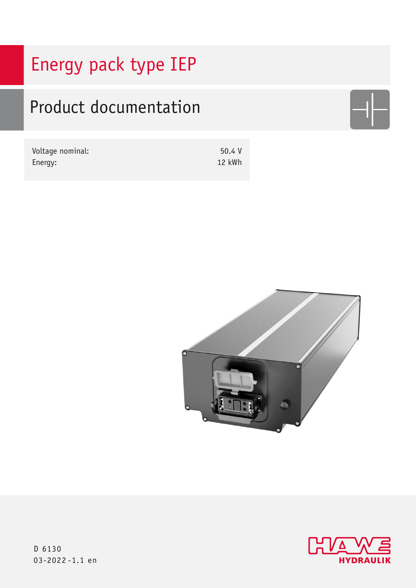# Energy pack type IEP

# Product documentation

| Voltage nominal: | 50.4 V |
|------------------|--------|
| Energy:          | 12 kWh |





D 6130 03-2022 -1.1 en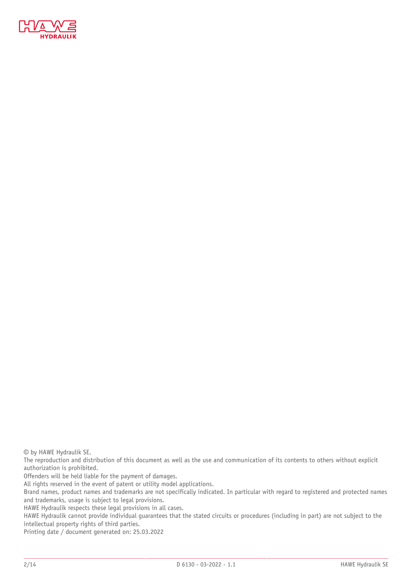

© by HAWE Hydraulik SE.

The reproduction and distribution of this document as well as the use and communication of its contents to others without explicit authorization is prohibited.

Offenders will be held liable for the payment of damages.

All rights reserved in the event of patent or utility model applications.

Brand names, product names and trademarks are not specifically indicated. In particular with regard to registered and protected names and trademarks, usage is subject to legal provisions.

HAWE Hydraulik respects these legal provisions in all cases.

HAWE Hydraulik cannot provide individual guarantees that the stated circuits or procedures (including in part) are not subject to the intellectual property rights of third parties.

Printing date / document generated on: 25.03.2022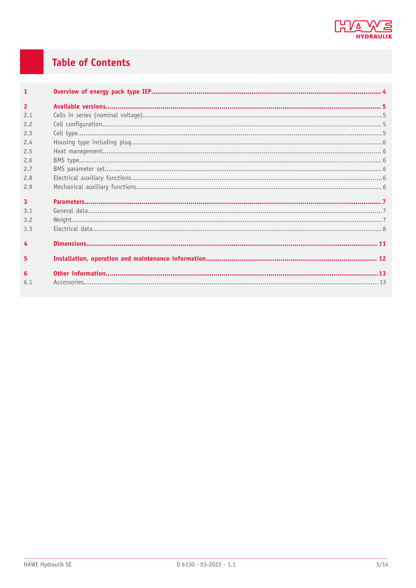

## **Table of Contents**

| $\mathbf{1}$   |  |
|----------------|--|
| $\overline{2}$ |  |
| 2.1            |  |
| 2.2            |  |
| 2.3            |  |
| 2.4            |  |
| 2.5            |  |
| 2.6            |  |
| 2.7            |  |
| 2.8            |  |
| 2.9            |  |
| $\overline{3}$ |  |
| 3.1            |  |
| 3.2            |  |
| 3.3            |  |
| 4              |  |
| 5              |  |
| 6              |  |
| 6.1            |  |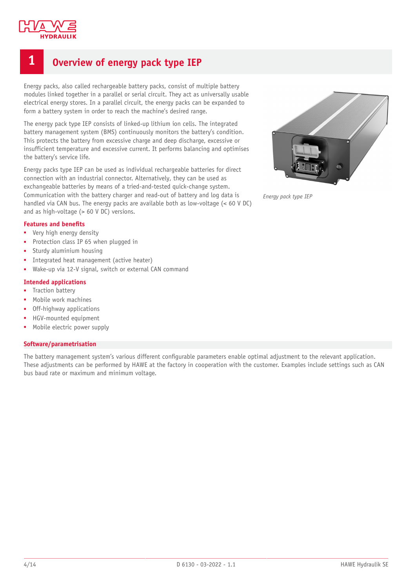

### <span id="page-3-0"></span>**1 Overview of energy pack type IEP**

Energy packs, also called rechargeable battery packs, consist of multiple battery modules linked together in a parallel or serial circuit. They act as universally usable electrical energy stores. In a parallel circuit, the energy packs can be expanded to form a battery system in order to reach the machine's desired range.

The energy pack type IEP consists of linked-up lithium ion cells. The integrated battery management system (BMS) continuously monitors the battery's condition. This protects the battery from excessive charge and deep discharge, excessive or insufficient temperature and excessive current. It performs balancing and optimises the battery's service life.

Energy packs type IEP can be used as individual rechargeable batteries for direct connection with an industrial connector. Alternatively, they can be used as exchangeable batteries by means of a tried-and-tested quick-change system. Communication with the battery charger and read-out of battery and log data is handled via CAN bus. The energy packs are available both as low-voltage (< 60 V DC) and as high-voltage (> 60 V DC) versions.

#### **Features and benets**

- Very high energy density
- Protection class IP 65 when plugged in
- Sturdy aluminium housing
- Integrated heat management (active heater)
- Wake-up via 12-V signal, switch or external CAN command

#### **Intended applications**

- **■** Traction battery
- Mobile work machines
- Off-highway applications
- HGV-mounted equipment
- Mobile electric power supply

#### **Software/parametrisation**

The battery management system's various different configurable parameters enable optimal adjustment to the relevant application. These adjustments can be performed by HAWE at the factory in cooperation with the customer. Examples include settings such as CAN bus baud rate or maximum and minimum voltage.



*Energy pack type IEP*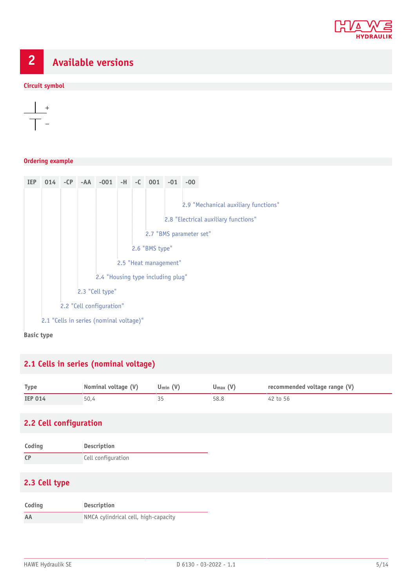

# <span id="page-4-0"></span>**2 Available versions**

#### **Circuit symbol**



#### **Ordering example**



### <span id="page-4-1"></span>**2.1 Cells in series (nominal voltage)**

| <b>Type</b>    | Nominal voltage (V) | $U_{\min} (V)$ | $U_{\text{max}}(V)$ | recommended voltage range (V) |
|----------------|---------------------|----------------|---------------------|-------------------------------|
| <b>IEP 014</b> | 50,4                |                | 58.8                | 42 to 56                      |

### <span id="page-4-2"></span>**2.2 Cell configuration**

| Coding    | <b>Description</b> |  |
|-----------|--------------------|--|
| <b>CP</b> | Cell configuration |  |

### <span id="page-4-3"></span>**2.3 Cell type**

| Coding | <b>Description</b>                   |  |
|--------|--------------------------------------|--|
| AA     | NMCA cylindrical cell, high-capacity |  |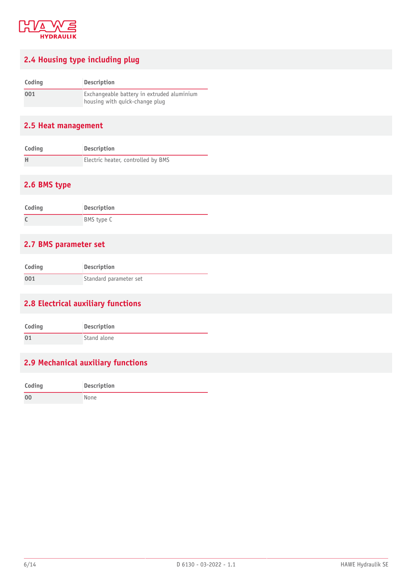

### <span id="page-5-0"></span>**2.4 Housing type including plug**

| Coding | <b>Description</b>                         |  |  |
|--------|--------------------------------------------|--|--|
| 001    | Exchangeable battery in extruded aluminium |  |  |
|        | housing with quick-change plug             |  |  |

### <span id="page-5-1"></span>**2.5 Heat management**

| Coding | Description                        |
|--------|------------------------------------|
|        | Electric heater, controlled by BMS |

### <span id="page-5-2"></span>**2.6 BMS type**

| Coding | Description |
|--------|-------------|
|        | BMS type C  |

### <span id="page-5-3"></span>**2.7 BMS parameter set**

| Coding | Description            |
|--------|------------------------|
| 001    | Standard parameter set |

### <span id="page-5-4"></span>**2.8 Electrical auxiliary functions**

| Coding | <b>Description</b> |
|--------|--------------------|
| 01     | Stand alone        |

### <span id="page-5-5"></span>**2.9 Mechanical auxiliary functions**

| Coding         | <b>Description</b> |
|----------------|--------------------|
| 0 <sup>0</sup> | None               |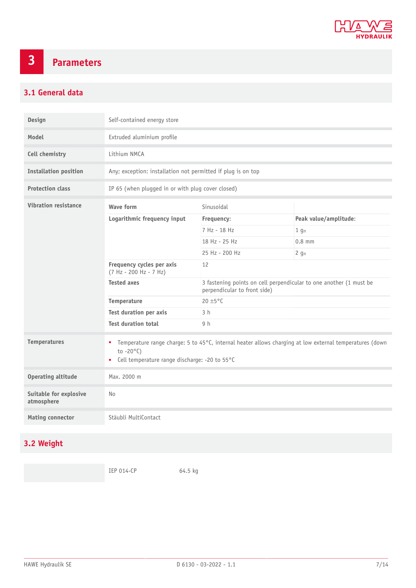

# <span id="page-6-0"></span>**3 Parameters**

### <span id="page-6-1"></span>**3.1 General data**

| Design                               | Self-contained energy store                                                                                                                                                               |                                                                                                    |                            |  |
|--------------------------------------|-------------------------------------------------------------------------------------------------------------------------------------------------------------------------------------------|----------------------------------------------------------------------------------------------------|----------------------------|--|
| Model                                | Extruded aluminium profile                                                                                                                                                                |                                                                                                    |                            |  |
| Cell chemistry                       | Lithium NMCA                                                                                                                                                                              |                                                                                                    |                            |  |
| <b>Installation position</b>         | Any; exception: installation not permitted if plug is on top                                                                                                                              |                                                                                                    |                            |  |
| <b>Protection class</b>              | IP 65 (when plugged in or with plug cover closed)                                                                                                                                         |                                                                                                    |                            |  |
| <b>Vibration resistance</b>          | Wave form                                                                                                                                                                                 | Sinusoidal                                                                                         |                            |  |
|                                      | Logarithmic frequency input                                                                                                                                                               | Frequency:                                                                                         | Peak value/amplitude:      |  |
|                                      |                                                                                                                                                                                           | 7 Hz - 18 Hz                                                                                       | 1 <sub>g<sub>n</sub></sub> |  |
|                                      |                                                                                                                                                                                           | 18 Hz - 25 Hz                                                                                      | $0.8$ mm                   |  |
|                                      |                                                                                                                                                                                           | 25 Hz - 200 Hz                                                                                     | $2$ gn                     |  |
|                                      | Frequency cycles per axis<br>(7 Hz - 200 Hz - 7 Hz)                                                                                                                                       | 12                                                                                                 |                            |  |
|                                      | <b>Tested axes</b>                                                                                                                                                                        | 3 fastening points on cell perpendicular to one another (1 must be<br>perpendicular to front side) |                            |  |
|                                      | Temperature                                                                                                                                                                               | 20 ±5°C                                                                                            |                            |  |
|                                      | <b>Test duration per axis</b>                                                                                                                                                             | 3 <sub>h</sub>                                                                                     |                            |  |
|                                      | <b>Test duration total</b>                                                                                                                                                                | 9 <sub>h</sub>                                                                                     |                            |  |
| <b>Temperatures</b>                  | Temperature range charge: 5 to 45°C, internal heater allows charging at low external temperatures (down<br>٠<br>to $-20^{\circ}$ C)<br>Cell temperature range discharge: -20 to 55°C<br>٠ |                                                                                                    |                            |  |
| <b>Operating altitude</b>            | Max. 2000 m                                                                                                                                                                               |                                                                                                    |                            |  |
| Suitable for explosive<br>atmosphere | <b>No</b>                                                                                                                                                                                 |                                                                                                    |                            |  |
| <b>Mating connector</b>              | Stäubli MultiContact                                                                                                                                                                      |                                                                                                    |                            |  |

### <span id="page-6-2"></span>**3.2 Weight**

IEP 014-CP 64.5 kg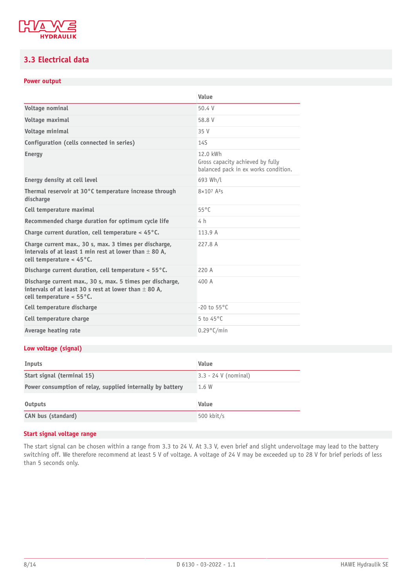

### <span id="page-7-0"></span>**3.3 Electrical data**

### **Power output**

|                                                                                                                                                               | Value                                                                                |  |
|---------------------------------------------------------------------------------------------------------------------------------------------------------------|--------------------------------------------------------------------------------------|--|
| Voltage nominal                                                                                                                                               | 50.4 V                                                                               |  |
| Voltage maximal                                                                                                                                               | 58.8 V                                                                               |  |
| Voltage minimal                                                                                                                                               | 35 V                                                                                 |  |
| Configuration (cells connected in series)                                                                                                                     | 14S                                                                                  |  |
| <b>Energy</b>                                                                                                                                                 | 12.0 kWh<br>Gross capacity achieved by fully<br>balanced pack in ex works condition. |  |
| Energy density at cell level                                                                                                                                  | 693 Wh/L                                                                             |  |
| Thermal reservoir at 30°C temperature increase through<br>discharge                                                                                           | $8 \times 10^{7}$ A <sup>2</sup> <sub>S</sub>                                        |  |
| Cell temperature maximal                                                                                                                                      | $55^{\circ}$ C                                                                       |  |
| Recommended charge duration for optimum cycle life                                                                                                            | 4 h                                                                                  |  |
| Charge current duration, cell temperature $<$ 45 $^{\circ}$ C.<br>113.9 A                                                                                     |                                                                                      |  |
| Charge current max., 30 s, max. 3 times per discharge,<br>intervals of at least 1 min rest at lower than $\pm$ 80 A.<br>cell temperature $<$ 45 $^{\circ}$ C. | 227.8 A                                                                              |  |
| Discharge current duration, cell temperature $<$ 55 $^{\circ}$ C.<br>220 A                                                                                    |                                                                                      |  |
| Discharge current max., 30 s, max. 5 times per discharge,<br>intervals of at least 30 s rest at lower than $\pm$ 80 A,<br>cell temperature < 55°C.            | 400 A                                                                                |  |
| Cell temperature discharge                                                                                                                                    | $-20$ to $55^{\circ}$ C                                                              |  |
| Cell temperature charge                                                                                                                                       | 5 to $45^{\circ}$ C                                                                  |  |
| Average heating rate                                                                                                                                          | $0.29^{\circ}$ C/min                                                                 |  |

### **Low voltage (signal)**

| Inputs                                                     | Value                  |
|------------------------------------------------------------|------------------------|
| Start signal (terminal 15)                                 | $3.3 - 24$ V (nominal) |
| Power consumption of relay, supplied internally by battery | 1.6 W                  |
| Outputs                                                    | Value                  |
| <b>CAN bus (standard)</b>                                  | $500$ kbit/s           |

#### **Start signal voltage range**

The start signal can be chosen within a range from 3.3 to 24 V. At 3.3 V, even brief and slight undervoltage may lead to the battery switching off. We therefore recommend at least 5 V of voltage. A voltage of 24 V may be exceeded up to 28 V for brief periods of less than 5 seconds only.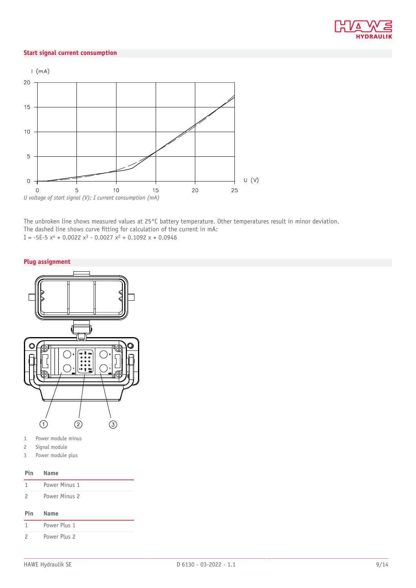

#### **Start signal current consumption**



The unbroken line shows measured values at 25°C battery temperature. Other temperatures result in minor deviation. The dashed line shows curve fitting for calculation of the current in mA: I =  $-5E-5x^4 + 0.0022x^3 - 0.0027x^2 + 0.1092x + 0.0946$ 

#### **Plug assignment**



- 1 Power module minus
- 2 Signal module
- 3 Power module plus

#### **Pin Name**

|     | Power Minus 1 |
|-----|---------------|
| - 2 | Power Minus 2 |

#### **Pin Name**

|                          | Power Plus 1 |
|--------------------------|--------------|
| $\overline{\phantom{a}}$ | Power Plus 2 |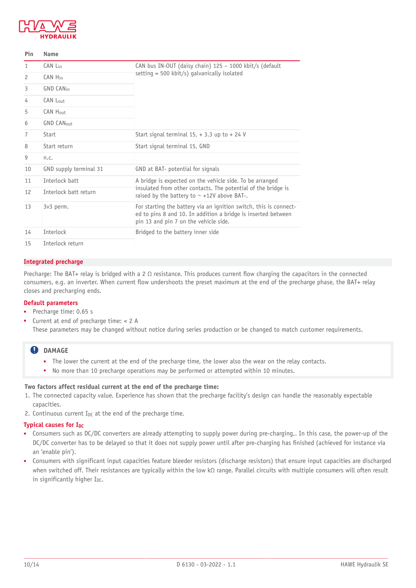

| Pin           | Name                   |                                                                                                                                                                             |  |
|---------------|------------------------|-----------------------------------------------------------------------------------------------------------------------------------------------------------------------------|--|
| 1             | CAN Lin                | CAN bus IN-OUT (daisy chain) 125 - 1000 kbit/s (default                                                                                                                     |  |
| $\mathcal{P}$ | CAN Hin                | setting = 500 kbit/s) galvanically isolated                                                                                                                                 |  |
| 3             | <b>GND CANin</b>       |                                                                                                                                                                             |  |
| 4             | CAN Lout               |                                                                                                                                                                             |  |
| 5             | CAN Hout               |                                                                                                                                                                             |  |
| 6             | <b>GND CANout</b>      |                                                                                                                                                                             |  |
| 7             | <b>Start</b>           | Start signal terminal $15, +3.3$ up to $+24$ V                                                                                                                              |  |
| 8             | Start return           | Start signal terminal 15, GND                                                                                                                                               |  |
| 9             | n.c.                   |                                                                                                                                                                             |  |
| 10            | GND supply terminal 31 | GND at BAT- potential for signals                                                                                                                                           |  |
| 11            | Interlock batt         | A bridge is expected on the vehicle side. To be arranged                                                                                                                    |  |
| 12            | Interlock batt return  | insulated from other contacts. The potential of the bridge is<br>raised by the battery to $\sim$ +12V above BAT-.                                                           |  |
| 13            | 3v3 perm.              | For starting the battery via an ignition switch, this is connect-<br>ed to pins 8 and 10. In addition a bridge is inserted between<br>pin 13 and pin 7 on the vehicle side. |  |
| 14            | Interlock              | Bridged to the battery inner side                                                                                                                                           |  |
| 15            | Interlock return       |                                                                                                                                                                             |  |

#### **Integrated precharge**

Precharge: The BAT+ relay is bridged with a 2  $\Omega$  resistance. This produces current flow charging the capacitors in the connected consumers, e.g. an inverter. When current flow undershoots the preset maximum at the end of the precharge phase, the BAT+ relay closes and precharging ends.

#### **Default parameters**

- Precharge time: 0.65 s
- Current at end of precharge time:  $< 2$  A These parameters may be changed without notice during series production or be changed to match customer requirements.

### **QDAMAGE**

- The lower the current at the end of the precharge time, the lower also the wear on the relay contacts.
- No more than 10 precharge operations may be performed or attempted within 10 minutes.

### **Two factors affect residual current at the end of the precharge time:**

- 1. The connected capacity value. Experience has shown that the precharge facility's design can handle the reasonably expectable capacities.
- 2. Continuous current  $I_{DC}$  at the end of the precharge time.

#### **Typical causes for IDC**

- Consumers such as DC/DC converters are already attempting to supply power during pre-charging,. In this case, the power-up of the DC/DC converter has to be delayed so that it does not supply power until after pre-charging has finished (achieved for instance via an 'enable pin').
- Consumers with significant input capacities feature bleeder resistors (discharge resistors) that ensure input capacities are discharged when switched off. Their resistances are typically within the low kΩ range. Parallel circuits with multiple consumers will often result in significantly higher IDC.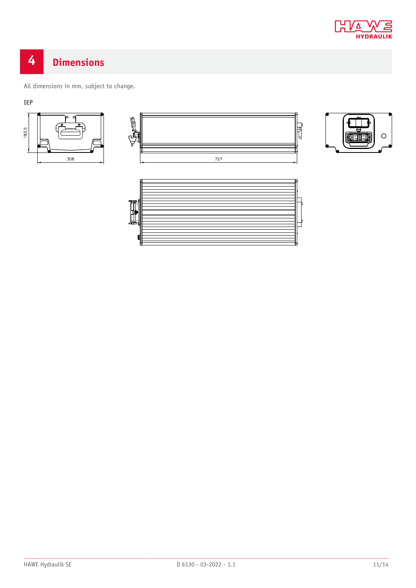

# <span id="page-10-0"></span>**4 Dimensions**

All dimensions in mm, subject to change.

**IEP**







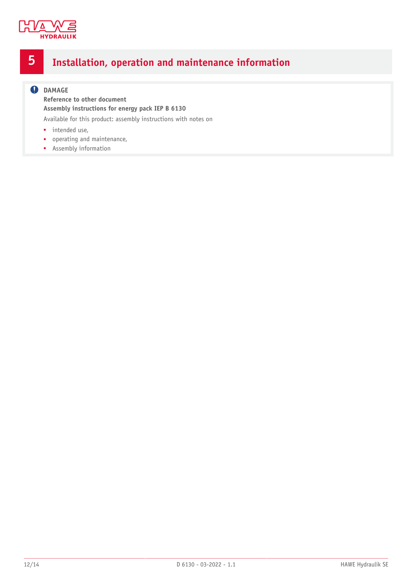

## <span id="page-11-0"></span>**5 Installation, operation and maintenance information**

### **O** DAMAGE

**Reference to other document Assembly instructions for energy pack IEP B 6130**

Available for this product: assembly instructions with notes on

- intended use,
- operating and maintenance,
- Assembly information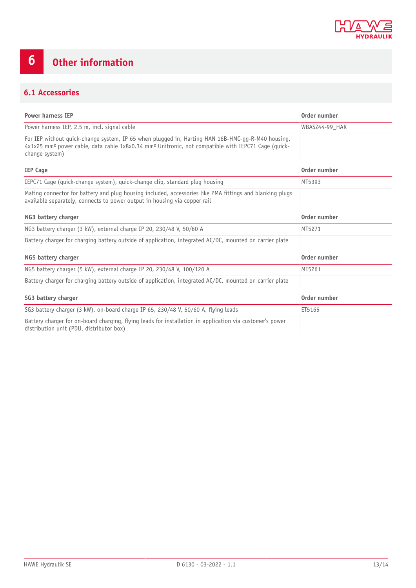

# <span id="page-12-0"></span>**6 Other information**

### <span id="page-12-1"></span>**6.1 Accessories**

| <b>Power harness IEP</b>                                                                                                                                                                                                                          | Order number   |
|---------------------------------------------------------------------------------------------------------------------------------------------------------------------------------------------------------------------------------------------------|----------------|
| Power harness IEP, 2.5 m, incl. signal cable                                                                                                                                                                                                      | WBASZ44-99 HAR |
| For IEP without quick-change system, IP 65 when plugged in, Harting HAN 16B-HMC-gg-R-M40 housing,<br>4x1x25 mm <sup>2</sup> power cable, data cable 1x8x0.34 mm <sup>2</sup> Unitronic, not compatible with IEPC71 Cage (guick-<br>change system) |                |
| <b>IEP Cage</b>                                                                                                                                                                                                                                   | Order number   |
| IEPC71 Cage (guick-change system), guick-change clip, standard plug housing                                                                                                                                                                       | MT5393         |
| Mating connector for battery and plug housing included, accessories like PMA fittings and blanking plugs<br>available separately, connects to power output in housing via copper rail                                                             |                |
| NG3 battery charger                                                                                                                                                                                                                               | Order number   |
| NG3 battery charger (3 kW), external charge IP 20, 230/48 V, 50/60 A                                                                                                                                                                              | MT5271         |
| Battery charger for charging battery outside of application, integrated AC/DC, mounted on carrier plate                                                                                                                                           |                |
| NG5 battery charger                                                                                                                                                                                                                               | Order number   |
| NG5 battery charger (5 kW), external charge IP 20, 230/48 V, 100/120 A                                                                                                                                                                            | MT5261         |
| Battery charger for charging battery outside of application, integrated AC/DC, mounted on carrier plate                                                                                                                                           |                |
| SG3 battery charger                                                                                                                                                                                                                               | Order number   |
| SG3 battery charger (3 kW), on-board charge IP 65, 230/48 V, 50/60 A, flying leads                                                                                                                                                                | ET5165         |
| Battery charger for on-board charging, flying leads for installation in application via customer's power<br>distribution unit (PDU, distributor box)                                                                                              |                |